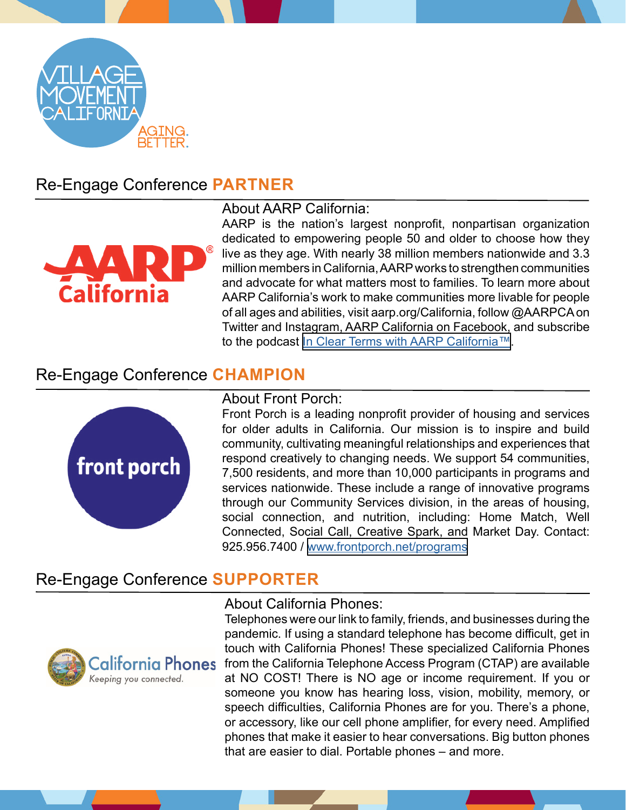

# Re-Engage Conference **PARTNER**



#### About AARP California:

AARP is the nation's largest nonprofit, nonpartisan organization dedicated to empowering people 50 and older to choose how they live as they age. With nearly 38 million members nationwide and 3.3 million members in California, AARP works to strengthen communities and advocate for what matters most to families. To learn more about AARP California's work to make communities more livable for people of all ages and abilities, visit aarp.org/California, follow @AARPCA on Twitter and Instagram, AARP California on Facebook, and subscribe to the podcast <u>In Clear Terms with AARP California™</u>.

## Re-Engage Conference **CHAMPION**



### About Front Porch:

Front Porch is a leading nonprofit provider of housing and services for older adults in California. Our mission is to inspire and build community, cultivating meaningful relationships and experiences that respond creatively to changing needs. We support 54 communities, 7,500 residents, and more than 10,000 participants in programs and services nationwide. These include a range of innovative programs through our Community Services division, in the areas of housing, social connection, and nutrition, including: Home Match, Well Connected, Social Call, Creative Spark, and Market Day. Contact: 925.956.7400 / [www.frontporch.net/programs](http://www.frontporch.net/programs)

## Re-Engage Conference **SUPPORTER**



#### About California Phones:

Telephones were our link to family, friends, and businesses during the pandemic. If using a standard telephone has become difficult, get in touch with California Phones! These specialized California Phones from the California Telephone Access Program (CTAP) are available at NO COST! There is NO age or income requirement. If you or someone you know has hearing loss, vision, mobility, memory, or speech difficulties, California Phones are for you. There's a phone, or accessory, like our cell phone amplifier, for every need. Amplified phones that make it easier to hear conversations. Big button phones that are easier to dial. Portable phones – and more.